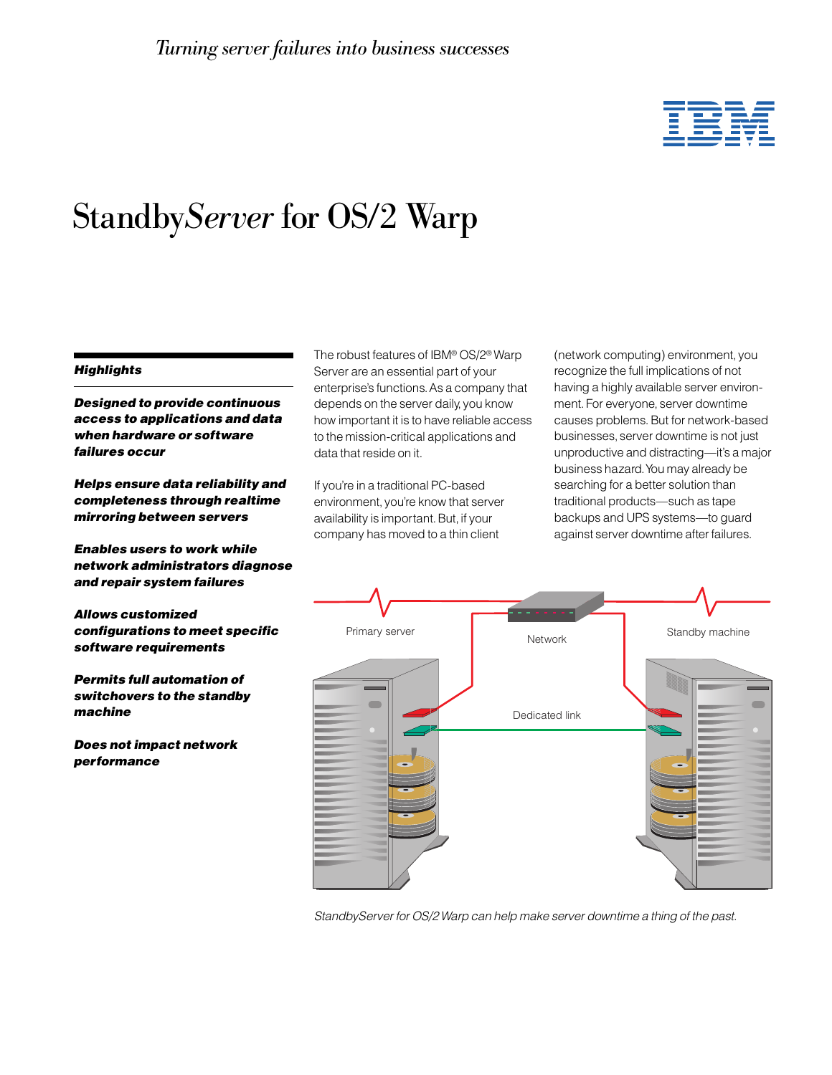# ĪĒ

# Standby*Server* for OS/2 Warp

#### **Highlights**

Designed to provide continuous access to applications and data when hardware or software failures occur

Helps ensure data reliability and completeness through realtime mirroring between servers

Enables users to work while network administrators diagnose and repair system failures

Allows customized configurations to meet specific software requirements

Permits full automation of switchovers to the standby machine

Does not impact network performance

The robust features of IBM® OS/2® Warp Server are an essential part of your enterprise's functions. As a company that depends on the server daily, you know how important it is to have reliable access to the mission-critical applications and data that reside on it.

If you're in a traditional PC-based environment, you're know that server availability is important. But, if your company has moved to a thin client

(network computing) environment, you recognize the full implications of not having a highly available server environment. For everyone, server downtime causes problems. But for network-based businesses, server downtime is not just unproductive and distracting—it's a major business hazard. You may already be searching for a better solution than traditional products—such as tape backups and UPS systems—to guard against server downtime after failures.



StandbyServer for OS/2 Warp can help make server downtime a thing of the past.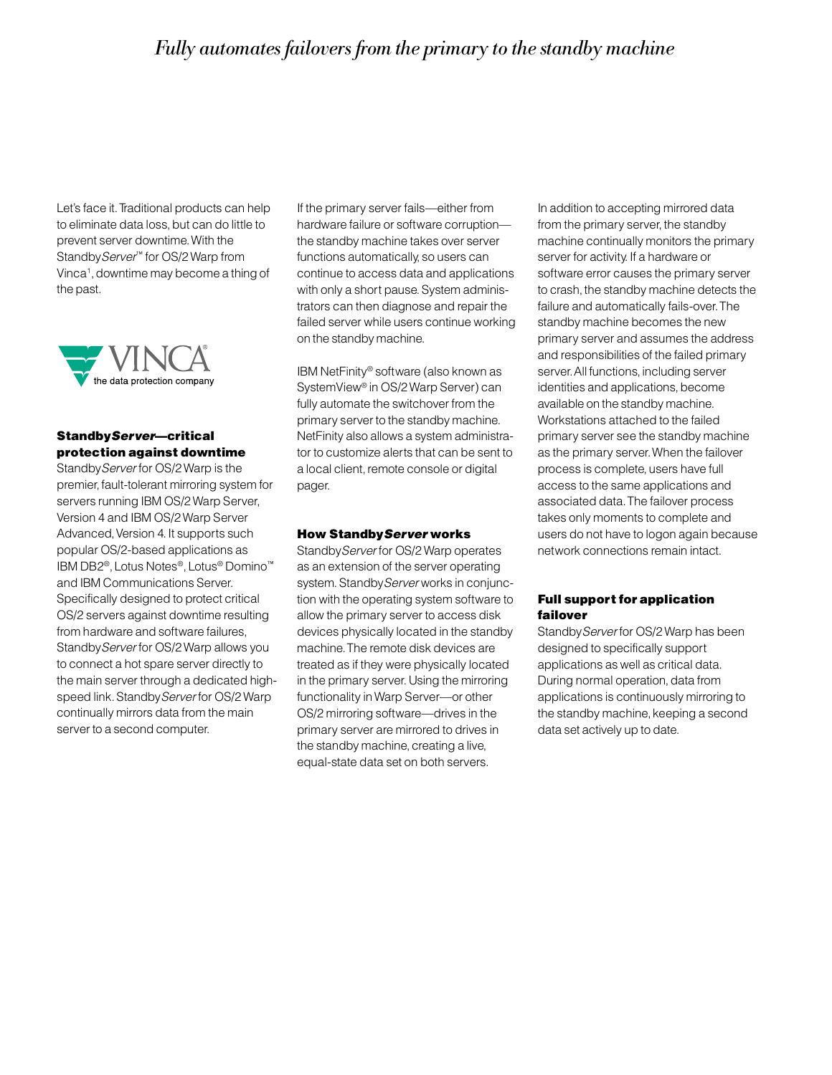### *Fully automates failovers from the primary to the standby machine*

Let's face it. Traditional products can help to eliminate data loss, but can do little to prevent server downtime. With the Standby Server<sup>™</sup> for OS/2 Warp from Vinca1 , downtime may become a thing of the past.



#### StandbyServer—critical protection against downtime

StandbyServer for OS/2 Warp is the premier, fault-tolerant mirroring system for servers running IBM OS/2 Warp Server, Version 4 and IBM OS/2 Warp Server Advanced, Version 4. It supports such popular OS/2-based applications as IBM DB2®, Lotus Notes®, Lotus® Domino™ and IBM Communications Server. Specifically designed to protect critical OS/2 servers against downtime resulting from hardware and software failures, StandbyServer for OS/2 Warp allows you to connect a hot spare server directly to the main server through a dedicated highspeed link. Standby Server for OS/2 Warp continually mirrors data from the main server to a second computer.

If the primary server fails—either from hardware failure or software corruption the standby machine takes over server functions automatically, so users can continue to access data and applications with only a short pause. System administrators can then diagnose and repair the failed server while users continue working on the standby machine.

IBM NetFinity® software (also known as SystemView® in OS/2 Warp Server) can fully automate the switchover from the primary server to the standby machine. NetFinity also allows a system administrator to customize alerts that can be sent to a local client, remote console or digital pager.

#### How StandbyServer works

StandbyServer for OS/2 Warp operates as an extension of the server operating system. Standby Server works in conjunction with the operating system software to allow the primary server to access disk devices physically located in the standby machine. The remote disk devices are treated as if they were physically located in the primary server. Using the mirroring functionality in Warp Server—or other OS/2 mirroring software—drives in the primary server are mirrored to drives in the standby machine, creating a live, equal-state data set on both servers.

In addition to accepting mirrored data from the primary server, the standby machine continually monitors the primary server for activity. If a hardware or software error causes the primary server to crash, the standby machine detects the failure and automatically fails-over. The standby machine becomes the new primary server and assumes the address and responsibilities of the failed primary server. All functions, including server identities and applications, become available on the standby machine. Workstations attached to the failed primary server see the standby machine as the primary server. When the failover process is complete, users have full access to the same applications and associated data. The failover process takes only moments to complete and users do not have to logon again because network connections remain intact.

#### Full support for application failover

Standby Server for OS/2 Warp has been designed to specifically support applications as well as critical data. During normal operation, data from applications is continuously mirroring to the standby machine, keeping a second data set actively up to date.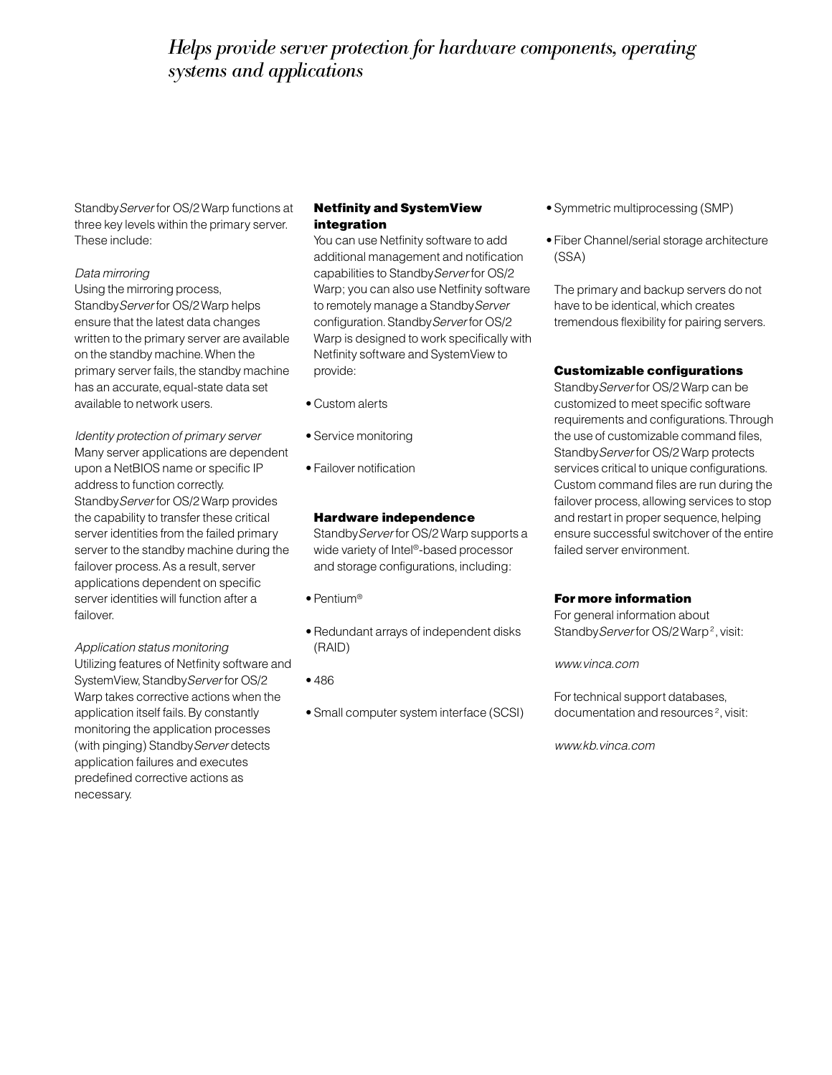## *Helps provide server protection for hardware components, operating systems and applications*

StandbyServer for OS/2 Warp functions at three key levels within the primary server. These include:

#### Data mirroring

Using the mirroring process, Standby Server for OS/2 Warp helps ensure that the latest data changes written to the primary server are available on the standby machine. When the primary server fails, the standby machine has an accurate, equal-state data set available to network users.

Identity protection of primary server Many server applications are dependent upon a NetBIOS name or specific IP address to function correctly. StandbyServer for OS/2 Warp provides the capability to transfer these critical server identities from the failed primary server to the standby machine during the failover process. As a result, server applications dependent on specific server identities will function after a failover.

Application status monitoring Utilizing features of Netfinity software and SystemView, Standby Server for OS/2 Warp takes corrective actions when the application itself fails. By constantly monitoring the application processes (with pinging) Standby Server detects application failures and executes predefined corrective actions as necessary.

#### Netfinity and SystemView integration

You can use Netfinity software to add additional management and notification capabilities to Standby Server for OS/2 Warp; you can also use Netfinity software to remotely manage a Standby Server configuration. Standby Server for OS/2 Warp is designed to work specifically with Netfinity software and SystemView to provide:

- Custom alerts
- Service monitoring
- Failover notification

#### Hardware independence

StandbyServer for OS/2 Warp supports a wide variety of Intel®-based processor and storage configurations, including:

- Pentium®
- Redundant arrays of independent disks (RAID)
- 486
- Small computer system interface (SCSI)
- Symmetric multiprocessing (SMP)
- Fiber Channel/serial storage architecture (SSA)

The primary and backup servers do not have to be identical, which creates tremendous flexibility for pairing servers.

#### Customizable configurations

StandbyServer for OS/2 Warp can be customized to meet specific software requirements and configurations. Through the use of customizable command files, Standby Server for OS/2 Warp protects services critical to unique configurations. Custom command files are run during the failover process, allowing services to stop and restart in proper sequence, helping ensure successful switchover of the entire failed server environment.

#### For more information

For general information about Standby Server for OS/2 Warp<sup>2</sup>, visit:

www.vinca.com

For technical support databases, documentation and resources<sup>2</sup>, visit:

www.kb.vinca.com